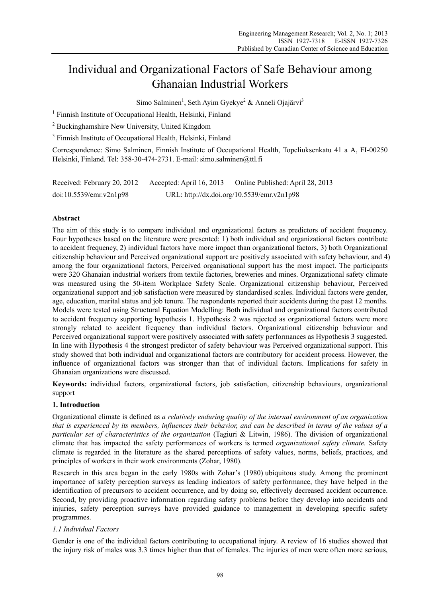# Individual and Organizational Factors of Safe Behaviour among Ghanaian Industrial Workers

Simo Salminen<sup>1</sup>, Seth Ayim Gyekye<sup>2</sup> & Anneli Ojajärvi<sup>3</sup>

<sup>1</sup> Finnish Institute of Occupational Health, Helsinki, Finland

<sup>2</sup> Buckinghamshire New University, United Kingdom

<sup>3</sup> Finnish Institute of Occupational Health, Helsinki, Finland

Correspondence: Simo Salminen, Finnish Institute of Occupational Health, Topeliuksenkatu 41 a A, FI-00250 Helsinki, Finland. Tel: 358-30-474-2731. E-mail: simo.salminen@ttl.fi

| Received: February 20, 2012 | Accepted: April 16, 2013 | Online Published: April 28, 2013           |
|-----------------------------|--------------------------|--------------------------------------------|
| doi:10.5539/emr.v2n1p98     |                          | URL: http://dx.doi.org/10.5539/emr.v2n1p98 |

# **Abstract**

The aim of this study is to compare individual and organizational factors as predictors of accident frequency. Four hypotheses based on the literature were presented: 1) both individual and organizational factors contribute to accident frequency, 2) individual factors have more impact than organizational factors, 3) both Organizational citizenship behaviour and Perceived organizational support are positively associated with safety behaviour, and 4) among the four organizational factors, Perceived organisational support has the most impact. The participants were 320 Ghanaian industrial workers from textile factories, breweries and mines. Organizational safety climate was measured using the 50-item Workplace Safety Scale. Organizational citizenship behaviour, Perceived organizational support and job satisfaction were measured by standardised scales. Individual factors were gender, age, education, marital status and job tenure. The respondents reported their accidents during the past 12 months. Models were tested using Structural Equation Modelling: Both individual and organizational factors contributed to accident frequency supporting hypothesis 1. Hypothesis 2 was rejected as organizational factors were more strongly related to accident frequency than individual factors. Organizational citizenship behaviour and Perceived organizational support were positively associated with safety performances as Hypothesis 3 suggested. In line with Hypothesis 4 the strongest predictor of safety behaviour was Perceived organizational support. This study showed that both individual and organizational factors are contributory for accident process. However, the influence of organizational factors was stronger than that of individual factors. Implications for safety in Ghanaian organizations were discussed.

**Keywords:** individual factors, organizational factors, job satisfaction, citizenship behaviours, organizational support

### **1. Introduction**

Organizational climate is defined as *a relatively enduring quality of the internal environment of an organization that is experienced by its members, influences their behavior, and can be described in terms of the values of a particular set of characteristics of the organization* (Tagiuri & Litwin, 1986). The division of organizational climate that has impacted the safety performances of workers is termed *organizational safety climate.* Safety climate is regarded in the literature as the shared perceptions of safety values, norms, beliefs, practices, and principles of workers in their work environments (Zohar, 1980).

Research in this area began in the early 1980s with Zohar's (1980) ubiquitous study. Among the prominent importance of safety perception surveys as leading indicators of safety performance, they have helped in the identification of precursors to accident occurrence, and by doing so, effectively decreased accident occurrence. Second, by providing proactive information regarding safety problems before they develop into accidents and injuries, safety perception surveys have provided guidance to management in developing specific safety programmes.

# *1.1 Individual Factors*

Gender is one of the individual factors contributing to occupational injury. A review of 16 studies showed that the injury risk of males was 3.3 times higher than that of females. The injuries of men were often more serious,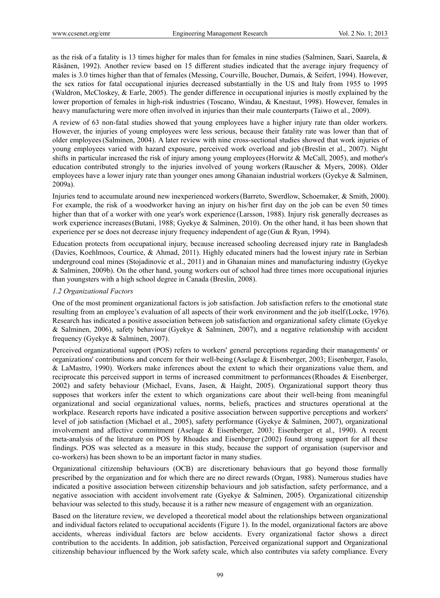as the risk of a fatality is 13 times higher for males than for females in nine studies (Salminen, Saari, Saarela, & Räsänen, 1992). Another review based on 15 different studies indicated that the average injury frequency of males is 3.0 times higher than that of females (Messing, Courville, Boucher, Dumais, & Seifert, 1994). However, the sex ratios for fatal occupational injuries decreased substantially in the US and Italy from 1955 to 1995 (Waldron, McCloskey, & Earle, 2005). The gender difference in occupational injuries is mostly explained by the lower proportion of females in high-risk industries (Toscano, Windau, & Knestaut, 1998). However, females in heavy manufacturing were more often involved in injuries than their male counterparts (Taiwo et al., 2009).

A review of 63 non-fatal studies showed that young employees have a higher injury rate than older workers. However, the injuries of young employees were less serious, because their fatality rate was lower than that of older employees(Salminen, 2004). A later review with nine cross-sectional studies showed that work injuries of young employees varied with hazard exposure, perceived work overload and job (Breslin et al., 2007). Night shifts in particular increased the risk of injury among young employees(Horwitz & McCall, 2005), and mother's education contributed strongly to the injuries involved of young workers (Rauscher & Myers, 2008). Older employees have a lower injury rate than younger ones among Ghanaian industrial workers (Gyekye & Salminen, 2009a).

Injuries tend to accumulate around new inexperienced workers(Barreto, Swerdlow, Schoemaker, & Smith, 2000). For example, the risk of a woodworker having an injury on his/her first day on the job can be even 50 times higher than that of a worker with one year's work experience (Larsson, 1988). Injury risk generally decreases as work experience increases(Butani, 1988; Gyekye & Salminen, 2010). On the other hand, it has been shown that experience per se does not decrease injury frequency independent of age (Gun & Ryan, 1994).

Education protects from occupational injury, because increased schooling decreased injury rate in Bangladesh (Davies, Koehlmoos, Courtice, & Ahmad, 2011). Highly educated miners had the lowest injury rate in Serbian underground coal mines (Stojadinovic et al., 2011) and in Ghanaian mines and manufacturing industry (Gyekye & Salminen, 2009b). On the other hand, young workers out of school had three times more occupational injuries than youngsters with a high school degree in Canada (Breslin, 2008).

## *1.2 Organizational Factors*

One of the most prominent organizational factors is job satisfaction. Job satisfaction refers to the emotional state resulting from an employee's evaluation of all aspects of their work environment and the job itself(Locke, 1976). Research has indicated a positive association between job satisfaction and organizational safety climate (Gyekye & Salminen, 2006), safety behaviour (Gyekye & Salminen, 2007), and a negative relationship with accident frequency (Gyekye & Salminen, 2007).

Perceived organizational support (POS) refers to workers' general perceptions regarding their managements' or organizations' contributions and concern for their well-being (Aselage & Eisenberger, 2003; Eisenberger, Fasolo, & LaMastro, 1990). Workers make inferences about the extent to which their organizations value them, and reciprocate this perceived support in terms of increased commitment to performances(Rhoades & Eisenberger, 2002) and safety behaviour (Michael, Evans, Jasen, & Haight, 2005). Organizational support theory thus supposes that workers infer the extent to which organizations care about their well-being from meaningful organizational and social organizational values, norms, beliefs, practices and structures operational at the workplace. Research reports have indicated a positive association between supportive perceptions and workers' level of job satisfaction (Michael et al., 2005), safety performance (Gyekye & Salminen, 2007), organizational involvement and affective commitment (Aselage & Eisenberger, 2003; Eisenberger et al., 1990). A recent meta-analysis of the literature on POS by Rhoades and Eisenberger (2002) found strong support for all these findings. POS was selected as a measure in this study, because the support of organisation (supervisor and co-workers) has been shown to be an important factor in many studies.

Organizational citizenship behaviours (OCB) are discretionary behaviours that go beyond those formally prescribed by the organization and for which there are no direct rewards (Organ, 1988). Numerous studies have indicated a positive association between citizenship behaviours and job satisfaction, safety performance, and a negative association with accident involvement rate (Gyekye & Salminen, 2005). Organizational citizenship behaviour was selected to this study, because it is a rather new measure of engagement with an organization.

Based on the literature review, we developed a theoretical model about the relationships between organizational and individual factors related to occupational accidents (Figure 1). In the model, organizational factors are above accidents, whereas individual factors are below accidents. Every organizational factor shows a direct contribution to the accidents. In addition, job satisfaction, Perceived organizational support and Organizational citizenship behaviour influenced by the Work safety scale, which also contributes via safety compliance. Every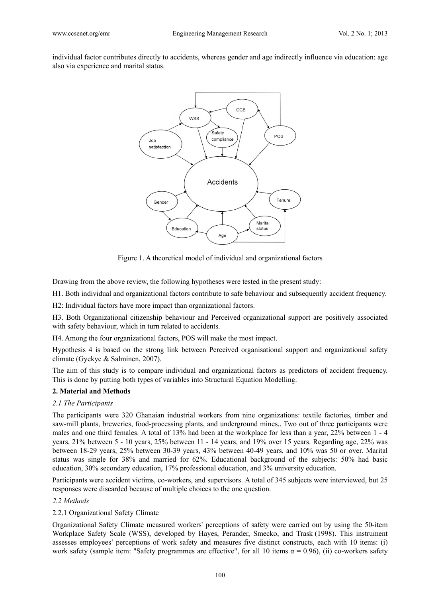individual factor contributes directly to accidents, whereas gender and age indirectly influence via education: age also via experience and marital status.



Figure 1. A theoretical model of individual and organizational factors

Drawing from the above review, the following hypotheses were tested in the present study:

H1. Both individual and organizational factors contribute to safe behaviour and subsequently accident frequency.

H2: Individual factors have more impact than organizational factors.

H3. Both Organizational citizenship behaviour and Perceived organizational support are positively associated with safety behaviour, which in turn related to accidents.

H4. Among the four organizational factors, POS will make the most impact.

Hypothesis 4 is based on the strong link between Perceived organisational support and organizational safety climate (Gyekye & Salminen, 2007).

The aim of this study is to compare individual and organizational factors as predictors of accident frequency. This is done by putting both types of variables into Structural Equation Modelling.

### **2. Material and Methods**

### *2.1 The Participants*

The participants were 320 Ghanaian industrial workers from nine organizations: textile factories, timber and saw-mill plants, breweries, food-processing plants, and underground mines,. Two out of three participants were males and one third females. A total of 13% had been at the workplace for less than a year, 22% between 1 - 4 years, 21% between 5 - 10 years, 25% between 11 - 14 years, and 19% over 15 years. Regarding age, 22% was between 18-29 years, 25% between 30-39 years, 43% between 40-49 years, and 10% was 50 or over. Marital status was single for 38% and married for 62%. Educational background of the subjects: 50% had basic education, 30% secondary education, 17% professional education, and 3% university education.

Participants were accident victims, co-workers, and supervisors. A total of 345 subjects were interviewed, but 25 responses were discarded because of multiple choices to the one question.

### *2.2 Methods*

# 2.2.1 Organizational Safety Climate

Organizational Safety Climate measured workers' perceptions of safety were carried out by using the 50-item Workplace Safety Scale (WSS), developed by Hayes, Perander, Smecko, and Trask (1998). This instrument assesses employees' perceptions of work safety and measures five distinct constructs, each with 10 items: (i) work safety (sample item: "Safety programmes are effective", for all 10 items  $\alpha = 0.96$ ), (ii) co-workers safety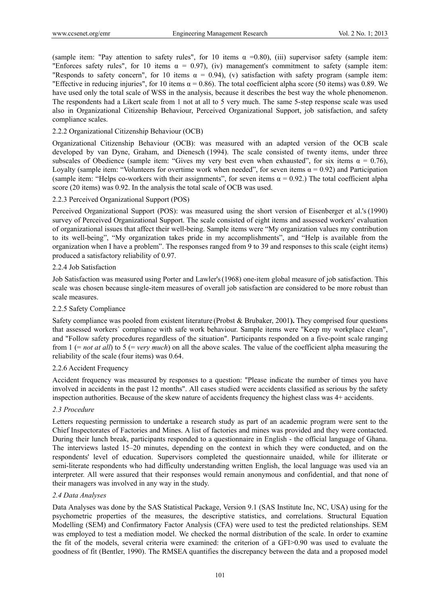(sample item: "Pay attention to safety rules", for 10 items  $\alpha = 0.80$ ), (iii) supervisor safety (sample item: "Enforces safety rules", for 10 items  $\alpha = 0.97$ ), (iv) management's commitment to safety (sample item: "Responds to safety concern", for 10 items  $\alpha = 0.94$ ), (v) satisfaction with safety program (sample item: "Effective in reducing injuries", for 10 items  $\alpha$  = 0.86). The total coefficient alpha score (50 items) was 0.89. We have used only the total scale of WSS in the analysis, because it describes the best way the whole phenomenon. The respondents had a Likert scale from 1 not at all to 5 very much. The same 5-step response scale was used also in Organizational Citizenship Behaviour, Perceived Organizational Support, job satisfaction, and safety compliance scales.

## 2.2.2 Organizational Citizenship Behaviour (OCB)

Organizational Citizenship Behaviour (OCB): was measured with an adapted version of the OCB scale developed by van Dyne, Graham, and Dienesch (1994). The scale consisted of twenty items, under three subscales of Obedience (sample item: "Gives my very best even when exhausted", for six items  $\alpha = 0.76$ ), Loyalty (sample item: "Volunteers for overtime work when needed", for seven items  $\alpha = 0.92$ ) and Participation (sample item: "Helps co-workers with their assignments", for seven items  $\alpha = 0.92$ .) The total coefficient alpha score (20 items) was 0.92. In the analysis the total scale of OCB was used.

## 2.2.3 Perceived Organizational Support (POS)

Perceived Organizational Support (POS): was measured using the short version of Eisenberger et al.'s (1990) survey of Perceived Organizational Support. The scale consisted of eight items and assessed workers' evaluation of organizational issues that affect their well-being. Sample items were "My organization values my contribution to its well-being", "My organization takes pride in my accomplishments", and "Help is available from the organization when I have a problem". The responses ranged from 9 to 39 and responses to this scale (eight items) produced a satisfactory reliability of 0.97.

### 2.2.4 Job Satisfaction

Job Satisfaction was measured using Porter and Lawler's(1968) one-item global measure of job satisfaction. This scale was chosen because single-item measures of overall job satisfaction are considered to be more robust than scale measures.

### 2.2.5 Safety Compliance

Safety compliance was pooled from existent literature (Probst & Brubaker, 2001**).** They comprised four questions that assessed workers` compliance with safe work behaviour. Sample items were "Keep my workplace clean", and "Follow safety procedures regardless of the situation". Participants responded on a five-point scale ranging from 1 (= *not at all*) to 5 (= *very much*) on all the above scales. The value of the coefficient alpha measuring the reliability of the scale (four items) was 0.64.

### 2.2.6 Accident Frequency

Accident frequency was measured by responses to a question: "Please indicate the number of times you have involved in accidents in the past 12 months". All cases studied were accidents classified as serious by the safety inspection authorities. Because of the skew nature of accidents frequency the highest class was 4+ accidents.

### *2.3 Procedure*

Letters requesting permission to undertake a research study as part of an academic program were sent to the Chief Inspectorates of Factories and Mines. A list of factories and mines was provided and they were contacted. During their lunch break, participants responded to a questionnaire in English - the official language of Ghana. The interviews lasted 15–20 minutes, depending on the context in which they were conducted, and on the respondents' level of education. Supervisors completed the questionnaire unaided, while for illiterate or semi-literate respondents who had difficulty understanding written English, the local language was used via an interpreter. All were assured that their responses would remain anonymous and confidential, and that none of their managers was involved in any way in the study.

### *2.4 Data Analyses*

Data Analyses was done by the SAS Statistical Package, Version 9.1 (SAS Institute Inc, NC, USA) using for the psychometric properties of the measures, the descriptive statistics, and correlations. Structural Equation Modelling (SEM) and Confirmatory Factor Analysis (CFA) were used to test the predicted relationships. SEM was employed to test a mediation model. We checked the normal distribution of the scale. In order to examine the fit of the models, several criteria were examined: the criterion of a GFI>0.90 was used to evaluate the goodness of fit (Bentler, 1990). The RMSEA quantifies the discrepancy between the data and a proposed model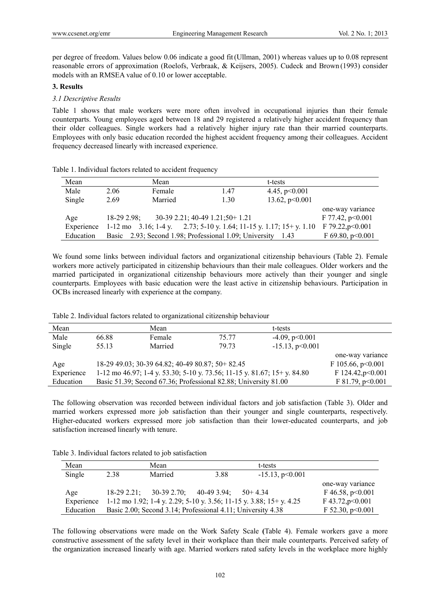per degree of freedom. Values below 0.06 indicate a good fit(Ullman, 2001) whereas values up to 0.08 represent reasonable errors of approximation (Roelofs, Verbraak, & Keijsers, 2005). Cudeck and Brown (1993) consider models with an RMSEA value of 0.10 or lower acceptable.

#### **3. Results**

#### *3.1 Descriptive Results*

Table 1 shows that male workers were more often involved in occupational injuries than their female counterparts. Young employees aged between 18 and 29 registered a relatively higher accident frequency than their older colleagues. Single workers had a relatively higher injury rate than their married counterparts. Employees with only basic education recorded the highest accident frequency among their colleagues. Accident frequency decreased linearly with increased experience.

| Mean      |      | Mean    |                                                             | t-tests                                                                        |                       |
|-----------|------|---------|-------------------------------------------------------------|--------------------------------------------------------------------------------|-----------------------|
| Male      | 2.06 | Female  | 1.47                                                        | 4.45, $p<0.001$                                                                |                       |
| Single    | 2.69 | Married | 1.30                                                        | 13.62, $p<0.001$                                                               |                       |
|           |      |         |                                                             |                                                                                | one-way variance      |
| Age       |      |         | 18-29 2.98; 30-39 2.21; 40-49 1.21; 50+ 1.21                |                                                                                | F 77.42, $p<0.001$    |
|           |      |         |                                                             | Experience 1-12 mo 3.16; 1-4 y. 2.73; 5-10 y. 1.64; 11-15 y. 1.17; 15+ y. 1.10 | $F$ 79.22,p<0.001     |
| Education |      |         | Basic 2.93; Second 1.98; Professional 1.09; University 1.43 |                                                                                | F $69.80$ , $p<0.001$ |

Table 1. Individual factors related to accident frequency

We found some links between individual factors and organizational citizenship behaviours (Table 2). Female workers more actively participated in citizenship behaviours than their male colleagues. Older workers and the married participated in organizational citizenship behaviours more actively than their younger and single counterparts. Employees with basic education were the least active in citizenship behaviours. Participation in OCBs increased linearly with experience at the company.

| Table 2. Individual factors related to organizational citizenship behaviour |  |  |
|-----------------------------------------------------------------------------|--|--|
|                                                                             |  |  |

| Mean       |                                                                 | Mean                                                                     |       | t-tests              |                               |
|------------|-----------------------------------------------------------------|--------------------------------------------------------------------------|-------|----------------------|-------------------------------|
| Male       | 66.88                                                           | Female                                                                   | 75.77 | $-4.09$ , $p<0.001$  |                               |
| Single     | 55.13                                                           | Married                                                                  | 79.73 | $-15.13$ , $p<0.001$ |                               |
|            |                                                                 |                                                                          |       |                      | one-way variance              |
| Age        | 18-29 49.03; 30-39 64.82; 40-49 80.87; 50+ 82.45                | F 105.66, $p<0.001$                                                      |       |                      |                               |
| Experience |                                                                 | 1-12 mo 46.97; 1-4 y. 53.30; 5-10 y. 73.56; 11-15 y. 81.67; 15+ y. 84.80 |       |                      | F $124.42,\mathrm{p}$ < 0.001 |
| Education  | Basic 51.39; Second 67.36; Professional 82.88; University 81.00 | F 81.79, p<0.001                                                         |       |                      |                               |

The following observation was recorded between individual factors and job satisfaction (Table 3). Older and married workers expressed more job satisfaction than their younger and single counterparts, respectively. Higher-educated workers expressed more job satisfaction than their lower-educated counterparts, and job satisfaction increased linearly with tenure.

| Table 3. Individual factors related to job satisfaction |  |  |  |  |  |  |  |
|---------------------------------------------------------|--|--|--|--|--|--|--|
|---------------------------------------------------------|--|--|--|--|--|--|--|

| Mean       |               | Mean    |                                       | t-tests                                                                 |                        |
|------------|---------------|---------|---------------------------------------|-------------------------------------------------------------------------|------------------------|
| Single     | 2.38          | Married | 3.88                                  | $-15.13, p<0.001$                                                       |                        |
|            |               |         |                                       |                                                                         | one-way variance       |
| Age        | $18-292.21$ : |         | $30-39$ 2.70: $40-49$ 3.94: $50+4.34$ |                                                                         | F 46.58, $p<0.001$     |
| Experience |               |         |                                       | 1-12 mo 1.92; 1-4 y. 2.29; 5-10 y. 3.56; 11-15 y. 3.88; $15 + y$ . 4.25 | $F$ 43.72, p $< 0.001$ |
| Education  |               |         |                                       | Basic 2.00; Second 3.14; Professional 4.11; University 4.38             | F 52.30, $p<0.001$     |

The following observations were made on the Work Safety Scale **(**Table 4). Female workers gave a more constructive assessment of the safety level in their workplace than their male counterparts. Perceived safety of the organization increased linearly with age. Married workers rated safety levels in the workplace more highly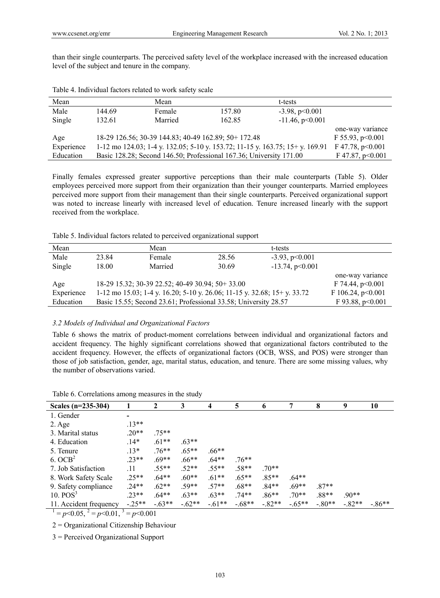than their single counterparts. The perceived safety level of the workplace increased with the increased education level of the subject and tenure in the company.

| Mean       |                                                                               | Mean                   |        | t-tests               |                  |
|------------|-------------------------------------------------------------------------------|------------------------|--------|-----------------------|------------------|
| Male       | 144.69                                                                        | Female                 | 157.80 | $-3.98$ , p $< 0.001$ |                  |
| Single     | 132.61                                                                        | Married                | 162.85 | $-11.46$ , $p<0.001$  |                  |
|            |                                                                               |                        |        |                       | one-way variance |
| Age        | 18-29 126.56; 30-39 144.83; 40-49 162.89; 50+ 172.48                          | F 55.93, $p<0.001$     |        |                       |                  |
| Experience | 1-12 mo 124.03; 1-4 y. 132.05; 5-10 y. 153.72; 11-15 y. 163.75; 15+ y. 169.91 | $F$ 47.78, p $< 0.001$ |        |                       |                  |
| Education  | Basic 128.28; Second 146.50; Professional 167.36; University 171.00           | $F$ 47.87, p $< 0.001$ |        |                       |                  |

Table 4. Individual factors related to work safety scale

Finally females expressed greater supportive perceptions than their male counterparts (Table 5). Older employees perceived more support from their organization than their younger counterparts. Married employees perceived more support from their management than their single counterparts. Perceived organizational support was noted to increase linearly with increased level of education. Tenure increased linearly with the support received from the workplace.

Table 5. Individual factors related to perceived organizational support

| Mean       |                                                                          | Mean                |       | t-tests               |                  |
|------------|--------------------------------------------------------------------------|---------------------|-------|-----------------------|------------------|
| Male       | 23.84                                                                    | Female              | 28.56 | $-3.93$ , p $< 0.001$ |                  |
| Single     | 18.00                                                                    | Married             | 30.69 | $-13.74$ , $p<0.001$  |                  |
|            |                                                                          |                     |       |                       | one-way variance |
| Age        | 18-29 15.32; 30-39 22.52; 40-49 30.94; 50+ 33.00                         | F 74.44, $p<0.001$  |       |                       |                  |
| Experience | 1-12 mo 15.03; 1-4 y. 16.20; 5-10 y. 26.06; 11-15 y. 32.68; 15+ y. 33.72 | F 106.24, $p<0.001$ |       |                       |                  |
| Education  | Basic 15.55; Second 23.61; Professional 33.58; University 28.57          | F 93.88, $p<0.001$  |       |                       |                  |

#### *3.2 Models of Individual and Organizational Factors*

Table 6 shows the matrix of product-moment correlations between individual and organizational factors and accident frequency. The highly significant correlations showed that organizational factors contributed to the accident frequency. However, the effects of organizational factors (OCB, WSS, and POS) were stronger than those of job satisfaction, gender, age, marital status, education, and tenure. There are some missing values, why the number of observations varied.

| Table 6. Correlations among measures in the study |  |  |  |
|---------------------------------------------------|--|--|--|
|                                                   |  |  |  |

| Scales (n=235-304)     |          |          | 3        | 4        | 5        | $\mathbf b$ | 7       | 8        | 9         | 10      |
|------------------------|----------|----------|----------|----------|----------|-------------|---------|----------|-----------|---------|
| 1. Gender              | -        |          |          |          |          |             |         |          |           |         |
| $2. \text{Age}$        | $.13**$  |          |          |          |          |             |         |          |           |         |
| 3. Marital status      | $.20**$  | $75**$   |          |          |          |             |         |          |           |         |
| 4. Education           | $.14*$   | $.61**$  | $.63**$  |          |          |             |         |          |           |         |
| 5. Tenure              | $.13*$   | $.76**$  | $.65**$  | $.66**$  |          |             |         |          |           |         |
| 6. OCB <sup>2</sup>    | $.23**$  | $.69**$  | $.66**$  | $.64**$  | 76**     |             |         |          |           |         |
| 7. Job Satisfaction    | .11      | $.55**$  | $.52**$  | $.55**$  | $.58**$  | $70**$      |         |          |           |         |
| 8. Work Safety Scale   | $.25**$  | $.64**$  | $.60**$  | $.61**$  | $.65**$  | $.85**$     | $.64**$ |          |           |         |
| 9. Safety compliance   | $.24**$  | $.62**$  | $.59**$  | $57**$   | $.68**$  | $.84**$     | $.69**$ | $.87**$  |           |         |
| 10. $POS3$             | $23**$   | $.64**$  | $.63**$  | $.63**$  | $.74**$  | $.86**$     | $.70**$ | $.88**$  | $.90**$   |         |
| 11. Accident frequency | $-.25**$ | $-.63**$ | $-.62**$ | $-.61**$ | $-.68**$ | $-.82**$    | $-65**$ | $-.80**$ | $-0.82**$ | $-86**$ |

 $1 = p < 0.05$ ,  $2 = p < 0.01$ ,  $3 = p < 0.001$ 

2 = Organizational Citizenship Behaviour

3 = Perceived Organizational Support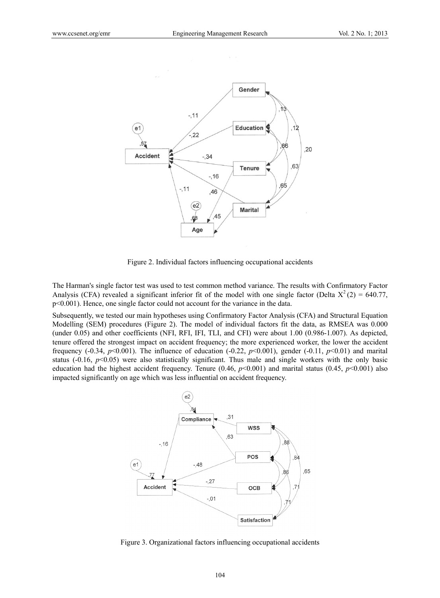

Figure 2. Individual factors influencing occupational accidents

The Harman's single factor test was used to test common method variance. The results with Confirmatory Factor Analysis (CFA) revealed a significant inferior fit of the model with one single factor (Delta  $X^2(2) = 640.77$ , p<0.001). Hence, one single factor could not account for the variance in the data.

Subsequently, we tested our main hypotheses using Confirmatory Factor Analysis (CFA) and Structural Equation Modelling (SEM) procedures (Figure 2). The model of individual factors fit the data, as RMSEA was 0.000 (under 0.05) and other coefficients (NFI, RFI, IFI, TLI, and CFI) were about 1.00 (0.986-1.007). As depicted, tenure offered the strongest impact on accident frequency; the more experienced worker, the lower the accident frequency (-0.34,  $p<0.001$ ). The influence of education (-0.22,  $p<0.001$ ), gender (-0.11,  $p<0.01$ ) and marital status  $(-0.16, p<0.05)$  were also statistically significant. Thus male and single workers with the only basic education had the highest accident frequency. Tenure (0.46, *p*<0.001) and marital status (0.45, *p*<0.001) also impacted significantly on age which was less influential on accident frequency.



Figure 3. Organizational factors influencing occupational accidents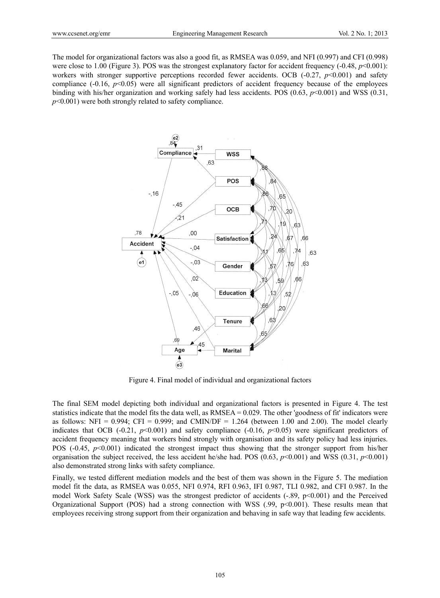The model for organizational factors was also a good fit, as RMSEA was 0.059, and NFI (0.997) and CFI (0.998) were close to 1.00 (Figure 3). POS was the strongest explanatory factor for accident frequency (-0.48, *p*<0.001): workers with stronger supportive perceptions recorded fewer accidents. OCB (-0.27, *p*<0.001) and safety compliance  $(-0.16, p<0.05)$  were all significant predictors of accident frequency because of the employees binding with his/her organization and working safely had less accidents. POS (0.63, *p*<0.001) and WSS (0.31, *p*<0.001) were both strongly related to safety compliance.



Figure 4. Final model of individual and organizational factors

The final SEM model depicting both individual and organizational factors is presented in Figure 4. The test statistics indicate that the model fits the data well, as RMSEA = 0.029. The other 'goodness of fit' indicators were as follows:  $NFI = 0.994$ ;  $CFI = 0.999$ ; and  $CMIN/DF = 1.264$  (between 1.00 and 2.00). The model clearly indicates that OCB (-0.21,  $p<0.001$ ) and safety compliance (-0.16,  $p<0.05$ ) were significant predictors of accident frequency meaning that workers bind strongly with organisation and its safety policy had less injuries. POS (-0.45, *p*<0.001) indicated the strongest impact thus showing that the stronger support from his/her organisation the subject received, the less accident he/she had. POS (0.63,  $p<0.001$ ) and WSS (0.31,  $p<0.001$ ) also demonstrated strong links with safety compliance.

Finally, we tested different mediation models and the best of them was shown in the Figure 5. The mediation model fit the data, as RMSEA was 0.055, NFI 0.974, RFI 0.963, IFI 0.987, TLI 0.982, and CFI 0.987. In the model Work Safety Scale (WSS) was the strongest predictor of accidents (-.89, p<0.001) and the Perceived Organizational Support (POS) had a strong connection with WSS (.99,  $p<0.001$ ). These results mean that employees receiving strong support from their organization and behaving in safe way that leading few accidents.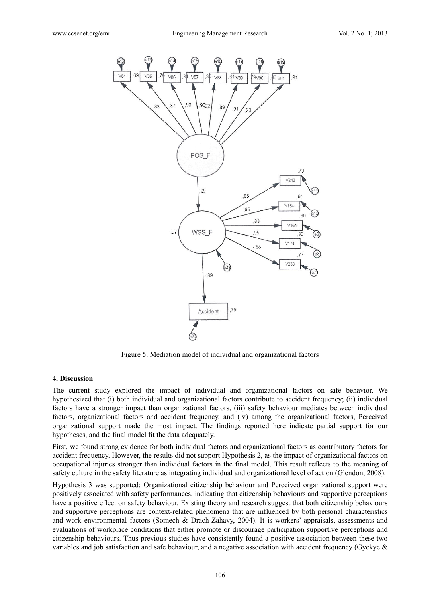

Figure 5. Mediation model of individual and organizational factors

#### **4. Discussion**

The current study explored the impact of individual and organizational factors on safe behavior. We hypothesized that (i) both individual and organizational factors contribute to accident frequency; (ii) individual factors have a stronger impact than organizational factors, (iii) safety behaviour mediates between individual factors, organizational factors and accident frequency, and (iv) among the organizational factors, Perceived organizational support made the most impact. The findings reported here indicate partial support for our hypotheses, and the final model fit the data adequately.

First, we found strong evidence for both individual factors and organizational factors as contributory factors for accident frequency. However, the results did not support Hypothesis 2, as the impact of organizational factors on occupational injuries stronger than individual factors in the final model. This result reflects to the meaning of safety culture in the safety literature as integrating individual and organizational level of action (Glendon, 2008).

Hypothesis 3 was supported: Organizational citizenship behaviour and Perceived organizational support were positively associated with safety performances, indicating that citizenship behaviours and supportive perceptions have a positive effect on safety behaviour. Existing theory and research suggest that both citizenship behaviours and supportive perceptions are context-related phenomena that are influenced by both personal characteristics and work environmental factors (Somech & Drach-Zahavy, 2004). It is workers' appraisals, assessments and evaluations of workplace conditions that either promote or discourage participation supportive perceptions and citizenship behaviours. Thus previous studies have consistently found a positive association between these two variables and job satisfaction and safe behaviour, and a negative association with accident frequency (Gyekye &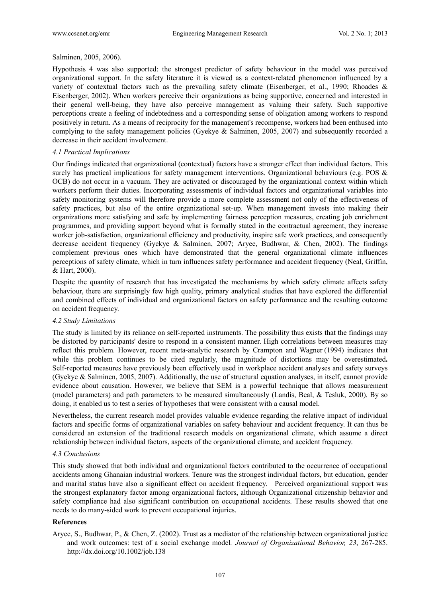## Salminen, 2005, 2006).

Hypothesis 4 was also supported: the strongest predictor of safety behaviour in the model was perceived organizational support. In the safety literature it is viewed as a context-related phenomenon influenced by a variety of contextual factors such as the prevailing safety climate (Eisenberger, et al., 1990; Rhoades & Eisenberger, 2002). When workers perceive their organizations as being supportive, concerned and interested in their general well-being, they have also perceive management as valuing their safety. Such supportive perceptions create a feeling of indebtedness and a corresponding sense of obligation among workers to respond positively in return. As a means of reciprocity for the management's recompense, workers had been enthused into complying to the safety management policies (Gyekye & Salminen, 2005, 2007) and subsequently recorded a decrease in their accident involvement.

## *4.1 Practical Implications*

Our findings indicated that organizational (contextual) factors have a stronger effect than individual factors. This surely has practical implications for safety management interventions. Organizational behaviours (e.g. POS & OCB) do not occur in a vacuum. They are activated or discouraged by the organizational context within which workers perform their duties. Incorporating assessments of individual factors and organizational variables into safety monitoring systems will therefore provide a more complete assessment not only of the effectiveness of safety practices, but also of the entire organizational set-up. When management invests into making their organizations more satisfying and safe by implementing fairness perception measures, creating job enrichment programmes, and providing support beyond what is formally stated in the contractual agreement, they increase worker job-satisfaction, organizational efficiency and productivity, inspire safe work practices, and consequently decrease accident frequency (Gyekye & Salminen, 2007; Aryee, Budhwar, & Chen, 2002). The findings complement previous ones which have demonstrated that the general organizational climate influences perceptions of safety climate, which in turn influences safety performance and accident frequency (Neal, Griffin, & Hart, 2000).

Despite the quantity of research that has investigated the mechanisms by which safety climate affects safety behaviour, there are surprisingly few high quality, primary analytical studies that have explored the differential and combined effects of individual and organizational factors on safety performance and the resulting outcome on accident frequency.

### *4.2 Study Limitations*

The study is limited by its reliance on self-reported instruments. The possibility thus exists that the findings may be distorted by participants' desire to respond in a consistent manner. High correlations between measures may reflect this problem. However, recent meta-analytic research by Crampton and Wagner (1994) indicates that while this problem continues to be cited regularly, the magnitude of distortions may be overestimated**.** Self-reported measures have previously been effectively used in workplace accident analyses and safety surveys (Gyekye & Salminen, 2005, 2007). Additionally, the use of structural equation analyses, in itself, cannot provide evidence about causation. However, we believe that SEM is a powerful technique that allows measurement (model parameters) and path parameters to be measured simultaneously (Landis, Beal, & Tesluk, 2000). By so doing, it enabled us to test a series of hypotheses that were consistent with a causal model.

Nevertheless, the current research model provides valuable evidence regarding the relative impact of individual factors and specific forms of organizational variables on safety behaviour and accident frequency. It can thus be considered an extension of the traditional research models on organizational climate, which assume a direct relationship between individual factors, aspects of the organizational climate, and accident frequency.

### *4.3 Conclusions*

This study showed that both individual and organizational factors contributed to the occurrence of occupational accidents among Ghanaian industrial workers. Tenure was the strongest individual factors, but education, gender and marital status have also a significant effect on accident frequency. Perceived organizational support was the strongest explanatory factor among organizational factors, although Organizational citizenship behavior and safety compliance had also significant contribution on occupational accidents. These results showed that one needs to do many-sided work to prevent occupational injuries.

### **References**

Aryee, S., Budhwar, P., & Chen, Z. (2002). Trust as a mediator of the relationship between organizational justice and work outcomes: test of a social exchange model*. Journal of Organizational Behavior, 23*, 267-285. http://dx.doi.org/10.1002/job.138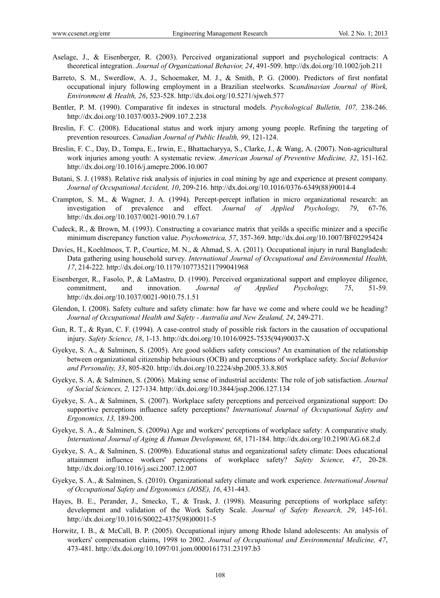- Aselage, J., & Eisenberger, R. (2003). Perceived organizational support and psychological contracts: A theoretical integration. *Journal of Organizational Behavior, 24*, 491-509. http://dx.doi.org/10.1002/job.211
- Barreto, S. M., Swerdlow, A. J., Schoemaker, M. J., & Smith, P. G. (2000). Predictors of first nonfatal occupational injury following employment in a Brazilian steelworks. S*candinavian Journal of Work, Environment & Health, 26*, 523-528. http://dx.doi.org/10.5271/sjweh.577
- Bentler, P. M. (1990). Comparative fit indexes in structural models. *Psychological Bulletin, 107,* 238-246. http://dx.doi.org/10.1037/0033-2909.107.2.238
- Breslin, F. C. (2008). Educational status and work injury among young people. Refining the targeting of prevention resources. *Canadian Journal of Public Health, 99*, 121-124.
- Breslin, F. C., Day, D., Tompa, E., Irwin, E., Bhattacharyya, S., Clarke, J., & Wang, A. (2007). Non-agricultural work injuries among youth: A systematic review. *American Journal of Preventive Medicine, 32*, 151-162. http://dx.doi.org/10.1016/j.amepre.2006.10.007
- Butani, S. J. (1988). Relative risk analysis of injuries in coal mining by age and experience at present company. *Journal of Occupational Accident, 10*, 209-216. http://dx.doi.org/10.1016/0376-6349(88)90014-4
- Crampton, S. M., & Wagner, J. A. (1994). Percept-percept inflation in micro organizational research: an investigation of prevalence and effect*. Journal of Applied Psychology, 79*, 67-76. http://dx.doi.org/10.1037/0021-9010.79.1.67
- Cudeck, R., & Brown, M. (1993). Constructing a covariance matrix that yeilds a specific minizer and a specific minimum discrepancy function value. *Psychometrica, 57*, 357-369. http://dx.doi.org/10.1007/BF02295424
- Davies, H., Koehlmoos, T. P., Courtice, M. N., & Ahmad, S. A. (2011). Occupational injury in rural Bangladesh: Data gathering using household survey. *International Journal of Occupational and Environmental Health, 17*, 214-222. http://dx.doi.org/10.1179/107735211799041968
- Eisenberger, R., Fasolo, P., & LaMastro, D. (1990). Perceived organizational support and employee diligence, commitment, and innovation. *Journal of Applied Psychology, 75*, 51-59. http://dx.doi.org/10.1037/0021-9010.75.1.51
- Glendon, I. (2008). Safety culture and safety climate: how far have we come and where could we be heading? *Journal of Occupational Health and Safety - Australia and New Zealand, 24*, 249-271.
- Gun, R. T., & Ryan, C. F. (1994). A case-control study of possible risk factors in the causation of occupational injury*. Safety Science, 18*, 1-13. http://dx.doi.org/10.1016/0925-7535(94)90037-X
- Gyekye, S. A., & Salminen, S. (2005). Are good soldiers safety conscious? An examination of the relationship between organizational citizenship behaviours (OCB) and perceptions of workplace safety. *Social Behavior and Personality, 33*, 805-820. http://dx.doi.org/10.2224/sbp.2005.33.8.805
- Gyekye, S. A, & Salminen, S. (2006). Making sense of industrial accidents: The role of job satisfaction. *Journal of Social Sciences, 2,* 127-134. http://dx.doi.org/10.3844/jssp.2006.127.134
- Gyekye, S. A., & Salminen, S. (2007). Workplace safety perceptions and perceived organizational support: Do supportive perceptions influence safety perceptions? *International Journal of Occupational Safety and Ergonomics, 13,* 189-200.
- Gyekye, S. A., & Salminen, S. (2009a) Age and workers' perceptions of workplace safety: A comparative study. *International Journal of Aging & Human Development, 68*, 171-184. http://dx.doi.org/10.2190/AG.68.2.d
- Gyekye, S. A., & Salminen, S. (2009b). Educational status and organizational safety climate: Does educational attainment influence workers' perceptions of workplace safety? *Safety Science, 47*, 20-28. http://dx.doi.org/10.1016/j.ssci.2007.12.007
- Gyekye, S. A., & Salminen, S. (2010). Organizational safety climate and work experience. *International Journal of Occupational Safety and Ergonomics (JOSE), 16*, 431-443.
- Hayes, B. E., Perander, J., Smecko, T., & Trask, J. (1998). Measuring perceptions of workplace safety: development and validation of the Work Safety Scale. *Journal of Safety Research, 29*, 145-161. http://dx.doi.org/10.1016/S0022-4375(98)00011-5
- Horwitz, I. B., & McCall, B. P. (2005). Occupational injury among Rhode Island adolescents: An analysis of workers' compensation claims, 1998 to 2002. *Journal of Occupational and Environmental Medicine, 47*, 473-481. http://dx.doi.org/10.1097/01.jom.0000161731.23197.b3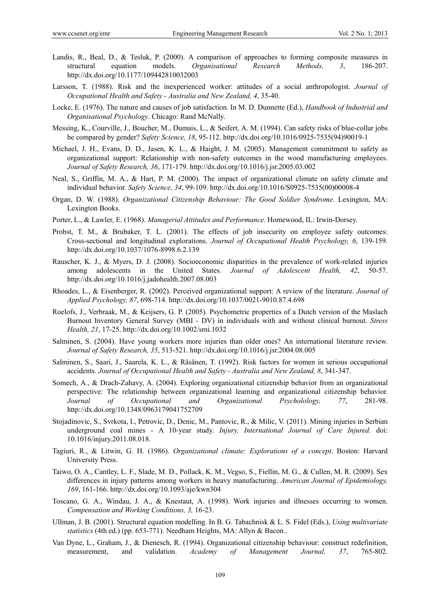- Landis, R., Beal, D., & Tesluk, P. (2000). A comparison of approaches to forming composite measures in structural equation models. *Organisational Research Methods, 3*, 186-207. http://dx.doi.org/10.1177/109442810032003
- Larsson, T. (1988). Risk and the inexperienced worker: attitudes of a social anthropologist. *Journal of Occupational Health and Safety - Australia and New Zealand, 4*, 35-40.
- Locke, E. (1976). The nature and causes of job satisfaction*.* In M. D. Dunnette (Ed.), *Handbook of Industrial and Organisational Psychology*. Chicago: Rand McNally.
- Messing, K., Courville, J., Boucher, M., Dumais, L., & Seifert, A. M. (1994). Can safety risks of blue-collar jobs be compared by gender? *Safety Science, 18*, 95-112. http://dx.doi.org/10.1016/0925-7535(94)90019-1
- Michael, J. H., Evans, D. D., Jasen, K. L., & Haight, J. M. (2005). Management commitment to safety as organizational support: Relationship with non-safety outcomes in the wood manufacturing employees. *Journal of Safety Research, 36*, 171-179. http://dx.doi.org/10.1016/j.jsr.2005.03.002
- Neal, S., Griffin, M. A., & Hart, P. M. (2000). The impact of organizational climate on safety climate and individual behavior. *Safety Science, 34*, 99-109. http://dx.doi.org/10.1016/S0925-7535(00)00008-4
- Organ, D. W. (1988). *Organizational Citizenship Behaviour: The Good Soldier Syndrome.* Lexington, MA: Lexington Books.
- Porter, L., & Lawler, E. (1968). *Managerial Attitudes and Performance.* Homewood, IL: Irwin-Dorsey.
- Probst, T. M., & Brubaker, T. L. (2001). The effects of job insecurity on employee safety outcomes: Cross-sectional and longitudinal explorations. *Journal of Occupational Health Psychology, 6*, 139-159. http://dx.doi.org/10.1037/1076-8998.6.2.139
- Rauscher, K. J., & Myers, D. J. (2008). Socioeconomic disparities in the prevalence of work-related injuries among adolescents in the United States. *Journal of Adolescent Health, 42*, 50-57. http://dx.doi.org/10.1016/j.jadohealth.2007.08.003
- Rhoades, L., & Eisenberger, R. (2002). Perceived organizational support: A review of the literature. *Journal of Applied Psychology, 87*, 698-714. http://dx.doi.org/10.1037/0021-9010.87.4.698
- Roelofs, J., Verbraak, M., & Keijsers, G. P. (2005). Psychometric properties of a Dutch version of the Maslach Burnout Inventory General Survey (MBI - DV) in individuals with and without clinical burnout. *Stress Health, 21*, 17-25. http://dx.doi.org/10.1002/smi.1032
- Salminen, S. (2004). Have young workers more injuries than older ones? An international literature review. *Journal of Safety Research, 35*, 513-521. http://dx.doi.org/10.1016/j.jsr.2004.08.005
- Salminen, S., Saari, J., Saarela, K. L., & Räsänen, T. (1992). Risk factors for women in serious occupational accidents*. Journal of Occupational Health and Safety - Australia and New Zealand, 8*, 341-347.
- Somech, A., & Drach-Zahavy, A. (2004). Exploring organizational citizenship behavior from an organizational perspective: The relationship between organizational learning and organizational citizenship behavior. *Journal of Occupational and Organizational Psycholology, 77*, 281-98. http://dx.doi.org/10.1348/0963179041752709
- Stojadinovic, S., Svrkota, I., Petrovic, D., Denic, M., Pantovic, R., & Milic, V. (2011). Mining injuries in Serbian underground coal mines - A 10-year study. *Injury, International Journal of Care Injured.* doi: 10.1016/injury.2011.08.018.
- Tagiuri, R., & Litwin, G. H. (1986). *Organizational climate: Explorations of a concept*. Boston: Harvard University Press.
- Taiwo, O. A., Cantley, L. F., Slade, M. D., Pollack, K. M., Vegso, S., Fiellin, M. G., & Cullen, M. R. (2009). Sex differences in injury patterns among workers in heavy manufacturing. *American Journal of Epidemiology, 169*, 161-166. http://dx.doi.org/10.1093/aje/kwn304
- Toscano, G. A., Windau, J. A., & Knestaut, A. (1998). Work injuries and illnesses occurring to women. *Compensation and Working Conditions, 3,* 16-23.
- Ullman, J. B. (2001). Structural equation modelling. In B. G. Tabachnisk & L. S. Fidel (Eds.), *Using multivariate statistics* (4th ed.) (pp. 653-771). Needham Heights, MA: Allyn & Bacon..
- Van Dyne, L., Graham, J., & Dienesch, R. (1994). Organizational citizenship behaviour: construct redefinition, measurement, and validation. *Academy of Management Journal, 37*, 765-802.